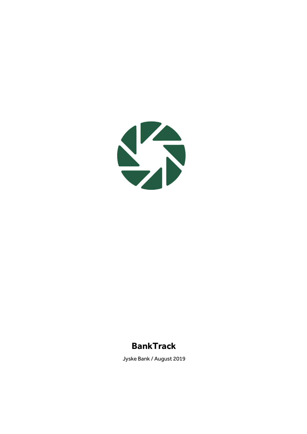

# **BankTrack**

Jyske Bank / August 2019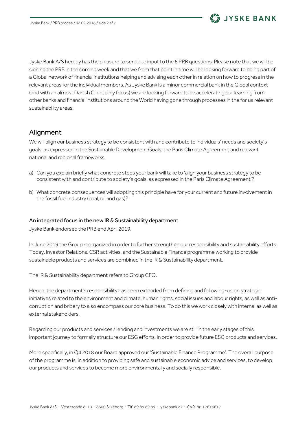

Jyske Bank A/S hereby has the pleasure to send our input to the 6 PRB questions. Please note that we will be signing the PRB in the coming week and that we from that point in time will be looking forward to being part of a Global network of financial institutions helping and advising each other in relation on how to progress in the relevant areas for the individual members. As Jyske Bank is a minor commercial bank in the Global context (and with an almost Danish Client only focus) we are looking forward to be accelerating our learning from other banks and financial institutions around the World having gone through processes in the for us relevant sustainability areas.

## Alignment

We will align our business strategy to be consistent with and contribute to individuals' needs and society's goals, as expressed in the Sustainable Development Goals, the Paris Climate Agreement and relevant national and regional frameworks.

- a) Can you explain briefly what concrete steps your bank will take to 'align your business strategy to be consistent with and contribute to society's goals, as expressed in the Paris Climate Agreement'?
- b) What concrete consequences will adopting this principle have for your current and future involvement in the fossil fuel industry (coal, oil and gas)?

#### An integrated focus in the new IR & Sustainability department

Jyske Bank endorsed the PRB end April 2019.

In June 2019 the Group reorganized in order to further strengthen our responsibility and sustainability efforts. Today, Investor Relations, CSR activities, and the Sustainable Finance programme working to provide sustainable products and services are combined in the IR & Sustainability department.

The IR & Sustainability department refers to Group CFO.

Hence, the department's responsibility has been extended from defining and following-up on strategic initiatives related to the environment and climate, human rights, social issues and labour rights, as well as anticorruption and bribery to also encompass our core business. To do this we work closely with internal as well as external stakeholders.

Regarding our products and services / lending and investments we are still in the early stages of this important journey to formally structure our ESG efforts, in order to provide future ESG products and services.

More specifically, in Q4 2018 our Board approved our 'Sustainable Finance Programme'. The overall purpose of the programme is, in addition to providing safe and sustainable economic advice and services, to develop our products and services to become more environmentally and socially responsible.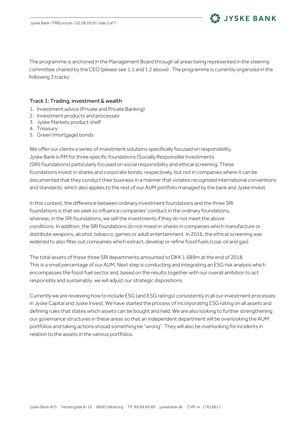

The programme is anchored in the Management Board through all areas being represented in the steering committee chaired by the CEO (please see 1.1 and 1.2 above) . The programme is currently organized in the following 3 tracks:

#### Track 1: Trading, investment & wealth

- 1. Investment advice (Private and Private Banking)
- 2. Investment products and processes
- 3. Jyske Markets product shelf
- 4. Treasury
- 5. Green (mortgage) bonds

We offer our clients a series of investment solutions specifically focused on responsibility. Jyske Bank is PM for three specific foundations (Socially Responsible Investments (SRI) foundations) particularly focused on social responsibility and ethical screening. These foundations invest in shares and corporate bonds, respectively, but not in companies where it can be documented that they conduct their business in a manner that violates recognised international conventions and standards, which also applies to the rest of our AUM portfolio managed by the bank and Jyske Invest.

In this context, the difference between ordinary investment foundations and the three SRI foundations is that we seek to influence companies' conduct in the ordinary foundations, whereas, in the SRI foundations, we sell the investments if they do not meet the above conditions. In addition, the SRI foundations do not invest in shares in companies which manufacture or distribute weapons, alcohol, tobacco, games or adult entertainment. In 2016, the ethical screening was widened to also filter out companies which extract, develop or refine fossil fuels (coal, oil and gas).

The total assets of these three SRI departments amounted to DKK 1,689m at the end of 2018. This is a small percentage of our AUM. Next step is conducting and integrating an ESG risk analysis which encompasses the fossil fuel sector and, based on the results together with our overall ambition to act responsibly and sustainably, we will adjust our strategic dispositions.

Currently we are reviewing how to include ESG (and ESG ratings) consistently in all our investment processes in Jyske Capital and Jyske Invest. We have started the process of incorporating ESG rating on all assets and defining rules that states which assets can be bought and held. We are also looking to further strengthening our governance structures in these areas so that an independent department will be overlooking the AUM portfolios and taking actions should something be "wrong". They will also be overlooking for incidents in relation to the assets in the various portfolios.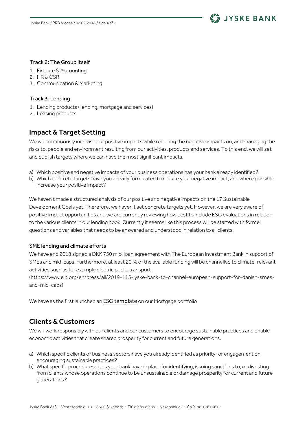

#### Track 2: The Group itself

- 1. Finance & Accounting
- 2. HR & CSR
- 3. Communication & Marketing

### Track 3: Lending

- 1. Lending products ( lending, mortgage and services)
- 2. Leasing products

## Impact & Target Setting

We will continuously increase our positive impacts while reducing the negative impacts on, and managing the risks to, people and environment resulting from our activities, products and services. To this end, we will set and publish targets where we can have the most significant impacts.

- a) Which positive and negative impacts of your business operations has your bank already identified?
- b) Which concrete targets have you already formulated to reduce your negative impact, and where possible increase your positive impact?

We haven't made a structured analysis of our positive and negative impacts on the 17 Sustainable Development Goals yet. Therefore, we haven't set concrete targets yet. However, we are very aware of positive impact opportunities and we are currently reviewing how best to include ESG evaluations in relation to the various clients in our lending book. Currently it seems like this process will be started with formel questions and variables that needs to be answered and understood in relation to all clients.

### SME lending and climate efforts

We have end 2018 signed a DKK 750 mio. loan agreement with The European Investment Bank in support of SMEs and mid-caps. Furthermore, at least 20 % of the available funding will be channelled to climate-relevant activities such as for example electric public transport

[\(https://www.eib.org/en/press/all/2019-115-jyske-bank-to-channel-european-support-for-danish-smes](https://www.eib.org/en/press/all/2019-115-jyske-bank-to-channel-european-support-for-danish-smes-and-mid-caps)[and-mid-caps\)](https://www.eib.org/en/press/all/2019-115-jyske-bank-to-channel-european-support-for-danish-smes-and-mid-caps).

We have as the first launched an **[ESG template](https://jyskerealkredit.com/sustainable-transparency-template)** on our Mortgage portfolio

## Clients & Customers

We will work responsibly with our clients and our customers to encourage sustainable practices and enable economic activities that create shared prosperity for current and future generations.

- a) Which specific clients or business sectors have you already identified as priority for engagement on encouraging sustainable practices?
- b) What specific procedures does your bank have in place for identifying, issuing sanctions to, or divesting from clients whose operations continue to be unsustainable or damage prosperity for current and future generations?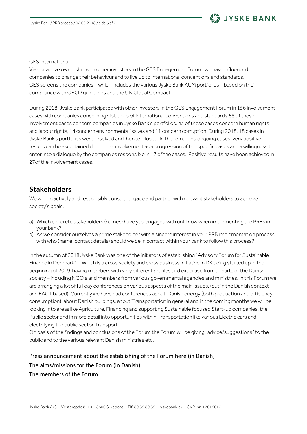# JYSKE BANK

#### GES International

Via our active ownership with other investors in the GES Engagement Forum, we have influenced companies to change their behaviour and to live up to international conventions and standards. GES screens the companies – which includes the various Jyske Bank AUM portfolios – based on their compliance with OECD guidelines and the UN Global Compact.

During 2018, Jyske Bank participated with other investors in the GES Engagement Forum in 156 involvement cases with companies concerning violations of international conventions and standards.68 of these involvement cases concern companies in Jyske Bank's portfolios. 43 of these cases concern human rights and labour rights, 14 concern environmental issues and 11 concern corruption. During 2018, 18 cases in Jyske Bank's portfolios were resolved and, hence, closed. In the remaining ongoing cases, very positive results can be ascertained due to the involvement as a progression of the specific cases and a willingness to enter into a dialogue by the companies responsible in 17 of the cases. Positive results have been achieved in 27of the involvement cases.

## Stakeholders

We will proactively and responsibly consult, engage and partner with relevant stakeholders to achieve society's goals.

- a) Which concrete stakeholders (names) have you engaged with until now when implementing the PRBs in your bank?
- b) As we consider ourselves a prime stakeholder with a sincere interest in your PRB implementation process, with who (name, contact details) should we be in contact within your bank to follow this process?

In the autumn of 2018 Jyske Bank was one of the initiators of establishing "Advisory Forum for Sustainable Finance in Denmark" – Which is a cross society and cross business initiative in DK being started up in the beginning of 2019 having members with very different profiles and expertise from all parts of the Danish society – including NGO's and members from various governmental agencies and ministries. In this Forum we are arranging a lot of full day conferences on various aspects of the main issues. (put in the Danish context and FACT based). Currently we have had conferences about Danish energy (both production and efficiency in consumption), about Danish buildings, about Transportation in general and in the coming months we will be looking into areas like Agriculture, Financing and supporting Sustainable focused Start-up companies, the Public sector and in more detail into opportunities within Transportation like various Electric cars and electrifying the public sector Transport.

On basis of the findings and conclusions of the Forum the Forum will be giving "advice/suggestions" to the public and to the various relevant Danish ministries etc.

# [Press announcement about the establishing of the Forum here \(in Danish\)](https://finansdanmark.dk/nyheder/2019/finans-danmark-lancerer-nyt-forum-for-baeredygtig-finans/) [The aims/missions for the Forum \(in Danish\)](https://finansdanmark.dk/media/38418/kommissorium-for-raadgivende-forum-for-baeredygtig-finans-170118.pdf) [The members of the Forum](https://finansdanmark.dk/media/38418/kommissorium-for-raadgivende-forum-for-baeredygtig-finans-170118.pdf)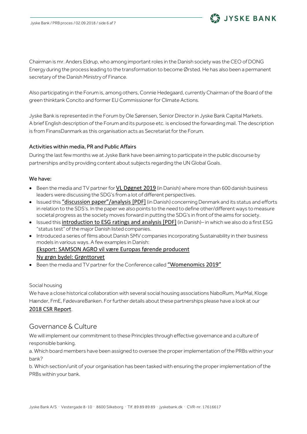

JYSKE BANK

Also participating in the Forum is, among others, Connie Hedegaard, currently Chairman of the Board of the green thinktank Concito and former EU Commissioner for Climate Actions.

Jyske Bank is represented in the Forum by Ole Sørensen, Senior Director in Jyske Bank Capital Markets. A brief English description of the Forum and its purpose etc. is enclosed the forwarding mail. The description is from FinansDanmark as this organisation acts as Secretariat for the Forum.

#### Activities within media, PR and Public Affairs

During the last few months we at Jyske Bank have been aiming to participate in the public discourse by partnerships and by providing content about subjects regarding the UN Global Goals.

#### We have:

- Been the media and TV partner for [VL Døgnet 2019](https://jyskebank.tv/tag/VL%20D%C3%B8gnet%202019) (in Danish) where more than 600 danish business leaders were discussing the SDG's from a lot of different perspectives.
- Issued this ["discussion paper"/analysis \[PDF\]](https://www.jyskebank.dk/wps/wcm/connect/jfo/30627f1e-8142-4dfa-b239-7a0884e8ed5f/Nyesamfunds%C3%B8konomiskem%C3%A5lemetoder_130619.pdf?MOD=AJPERES&CVID=mJg13Lc) (in Danish) concerning Denmark and its status and efforts in relation to the SDS's. In the paper we also points to the need to define other/different ways to measure societal progress as the society moves forward in putting the SDG's in front of the aims for society.
- Issued this [introduction to ESG ratings and analysis \[PDF\]](https://www.jyskebank.dk/wps/wcm/connect/jfo/e09e96ec-f7b3-4f5a-bea0-74515ecc760d/B%C3%A6redygtighedsm%C3%A5lp%C3%A5vejfrem_130619.pdf?MOD=AJPERES&CVID=mJg0JdJ) (in Danish)– in which we also do a first ESG "status test" of the major Danish listed companies.
- Introduced a series of films about Danish SMV companies incorporating Sustainability in their business models in various ways. A few examples in Danish: [Eksport: SAMSON AGRO vil være Europas førende producent](https://jyskebank.tv/eksport-samson-agro-vil-vaere) [Ny grøn bydel: Grønttorvet](https://jyskebank.tv/ny-gron-bydel-gronttorvet-2)
- Been the media and TV partner for the Conference called ["Womenomics 2019"](https://jyskebank.tv/tag/womenomics)

#### Social housing

We have a close historical collaboration with several social housing associations NaboRum, MurMal, Kloge Hænder, FmE, FødevareBanken. For further details about these partnerships please have a look at our [2018 CSR Report](https://www.jyskebank.dk/wps/wcm/connect/jfo/1549b28f-4f5c-41a0-8e9a-6737f55ea9f5/Corporate_Social_Responsibility_2018.pdf?MOD=AJPERES&CVID=mHFwDs2).

### Governance & Culture

We will implement our commitment to these Principles through effective governance and a culture of responsible banking.

a. Which board members have been assigned to oversee the proper implementation of the PRBs within your bank?

b. Which section/unit of your organisation has been tasked with ensuring the proper implementation of the PRBs within your bank.